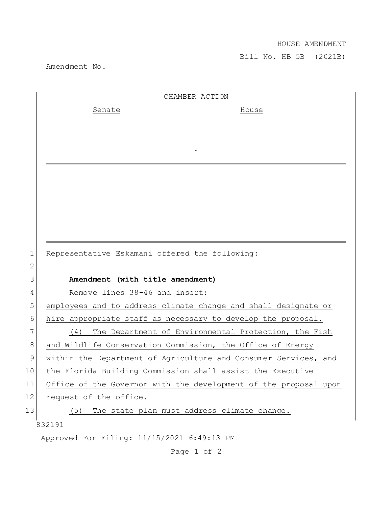## HOUSE AMENDMENT

Bill No. HB 5B (2021B)

Amendment No.

|                 | CHAMBER ACTION                                                   |
|-----------------|------------------------------------------------------------------|
|                 | Senate<br>House                                                  |
|                 |                                                                  |
|                 |                                                                  |
|                 |                                                                  |
|                 |                                                                  |
|                 |                                                                  |
|                 |                                                                  |
|                 |                                                                  |
|                 |                                                                  |
|                 |                                                                  |
| $\mathbf 1$     | Representative Eskamani offered the following:                   |
| 2               |                                                                  |
| 3               | Amendment (with title amendment)                                 |
| 4               | Remove lines 38-46 and insert:                                   |
| 5               | employees and to address climate change and shall designate or   |
| 6               | hire appropriate staff as necessary to develop the proposal.     |
| 7               | The Department of Environmental Protection, the Fish<br>(4)      |
| 8               | and Wildlife Conservation Commission, the Office of Energy       |
| $\mathsf 9$     | within the Department of Agriculture and Consumer Services, and  |
| 10 <sub>o</sub> | the Florida Building Commission shall assist the Executive       |
| 11              | Office of the Governor with the development of the proposal upon |
| 12              | request of the office.                                           |
| 13              | The state plan must address climate change.<br>(5)               |
|                 | 832191                                                           |
|                 | Approved For Filing: 11/15/2021 6:49:13 PM                       |

Page 1 of 2